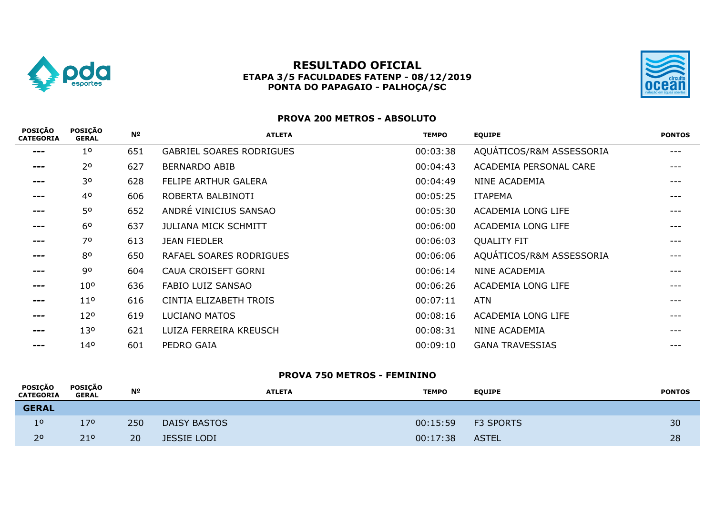

## **RESULTADO OFICIAL ETAPA 3/5 FACULDADES FATENP - 08/12/2019 PONTA DO PAPAGAIO - PALHOÇA/SC**



## **PROVA 200 METROS - ABSOLUTO**

| <b>POSIÇÃO</b><br><b>CATEGORIA</b> | <b>POSIÇÃO</b><br><b>GERAL</b> | Nº  | <b>ATLETA</b>                   | <b>TEMPO</b> | <b>EQUIPE</b>            | <b>PONTOS</b> |
|------------------------------------|--------------------------------|-----|---------------------------------|--------------|--------------------------|---------------|
| ---                                | 1 <sup>0</sup>                 | 651 | <b>GABRIEL SOARES RODRIGUES</b> | 00:03:38     | AQUÁTICOS/R&M ASSESSORIA | ---           |
| ---                                | 2 <sup>o</sup>                 | 627 | <b>BERNARDO ABIB</b>            | 00:04:43     | ACADEMIA PERSONAL CARE   | ---           |
| ---                                | 30                             | 628 | FELIPE ARTHUR GALERA            | 00:04:49     | <b>NINE ACADEMIA</b>     | ---           |
| ---                                | 4 <sup>o</sup>                 | 606 | ROBERTA BALBINOTI               | 00:05:25     | <b>ITAPEMA</b>           | ---           |
| ---                                | 50                             | 652 | ANDRÉ VINICIUS SANSAO           | 00:05:30     | ACADEMIA LONG LIFE       | $---$         |
| ---                                | 6 <sup>o</sup>                 | 637 | <b>JULIANA MICK SCHMITT</b>     | 00:06:00     | ACADEMIA LONG LIFE       | ---           |
| ---                                | 70                             | 613 | <b>JEAN FIEDLER</b>             | 00:06:03     | <b>QUALITY FIT</b>       | $---$         |
| ---                                | 80                             | 650 | RAFAEL SOARES RODRIGUES         | 00:06:06     | AQUÁTICOS/R&M ASSESSORIA | ---           |
| ---                                | 90                             | 604 | CAUA CROISEFT GORNI             | 00:06:14     | <b>NINE ACADEMIA</b>     | ---           |
| ---                                | 10 <sup>o</sup>                | 636 | FABIO LUIZ SANSAO               | 00:06:26     | ACADEMIA LONG LIFE       | ---           |
| ---                                | 11 <sup>o</sup>                | 616 | CINTIA ELIZABETH TROIS          | 00:07:11     | ATN                      | ---           |
| ---                                | 12 <sup>o</sup>                | 619 | LUCIANO MATOS                   | 00:08:16     | ACADEMIA LONG LIFE       | ---           |
| ---                                | 130                            | 621 | LUIZA FERREIRA KREUSCH          | 00:08:31     | <b>NINE ACADEMIA</b>     | ---           |
| ---                                | 14 <sup>o</sup>                | 601 | PEDRO GAIA                      | 00:09:10     | <b>GANA TRAVESSIAS</b>   |               |

#### **PROVA 750 METROS - FEMININO**

| POSIÇÃO<br><b>CATEGORIA</b> | POSICÃO<br>GERAL | Nº  | <b>ATLETA</b>       | <b>TEMPO</b> | <b>EQUIPE</b>    | <b>PONTOS</b> |
|-----------------------------|------------------|-----|---------------------|--------------|------------------|---------------|
| <b>GERAL</b>                |                  |     |                     |              |                  |               |
| 1 <sup>0</sup>              | 170              | 250 | <b>DAISY BASTOS</b> | 00:15:59     | <b>F3 SPORTS</b> | 30            |
| 2 <sup>o</sup>              | 21 <sup>o</sup>  | 20  | <b>JESSIE LODI</b>  | 00:17:38     | <b>ASTEL</b>     | 28            |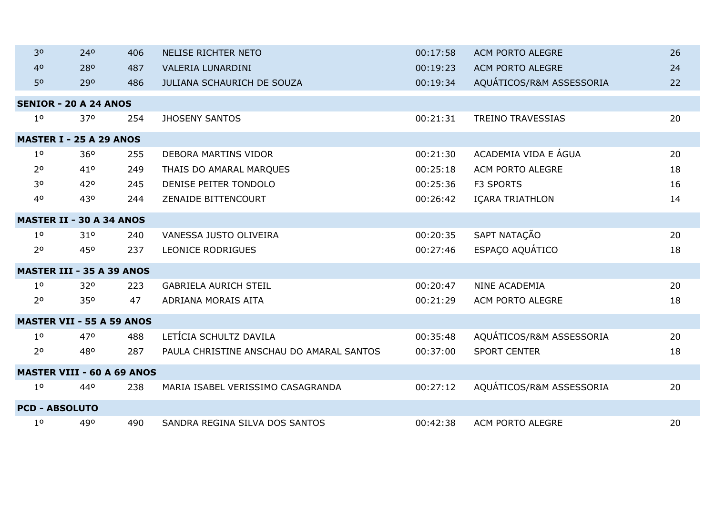| 30                    | 240                               | 406 | <b>NELISE RICHTER NETO</b>               | 00:17:58 | <b>ACM PORTO ALEGRE</b>  | 26 |
|-----------------------|-----------------------------------|-----|------------------------------------------|----------|--------------------------|----|
| 4 <sup>0</sup>        | 280                               | 487 | <b>VALERIA LUNARDINI</b>                 | 00:19:23 | <b>ACM PORTO ALEGRE</b>  | 24 |
| 50                    | 290                               | 486 | JULIANA SCHAURICH DE SOUZA               | 00:19:34 | AQUÁTICOS/R&M ASSESSORIA | 22 |
|                       | <b>SENIOR - 20 A 24 ANOS</b>      |     |                                          |          |                          |    |
| 1 <sup>0</sup>        | 370                               | 254 | <b>JHOSENY SANTOS</b>                    | 00:21:31 | <b>TREINO TRAVESSIAS</b> | 20 |
|                       | <b>MASTER I - 25 A 29 ANOS</b>    |     |                                          |          |                          |    |
| 1 <sup>o</sup>        | 360                               | 255 | <b>DEBORA MARTINS VIDOR</b>              | 00:21:30 | ACADEMIA VIDA E ÁGUA     | 20 |
| 2 <sup>o</sup>        | 41°                               | 249 | THAIS DO AMARAL MARQUES                  | 00:25:18 | ACM PORTO ALEGRE         | 18 |
| 30                    | 420                               | 245 | DENISE PEITER TONDOLO                    | 00:25:36 | <b>F3 SPORTS</b>         | 16 |
| 40                    | 430                               | 244 | <b>ZENAIDE BITTENCOURT</b>               | 00:26:42 | <b>ICARA TRIATHLON</b>   | 14 |
|                       | <b>MASTER II - 30 A 34 ANOS</b>   |     |                                          |          |                          |    |
| 1 <sup>0</sup>        | 310                               | 240 | VANESSA JUSTO OLIVEIRA                   | 00:20:35 | SAPT NATAÇÃO             | 20 |
| 2 <sup>o</sup>        | 450                               | 237 | <b>LEONICE RODRIGUES</b>                 | 00:27:46 | ESPAÇO AQUÁTICO          | 18 |
|                       | <b>MASTER III - 35 A 39 ANOS</b>  |     |                                          |          |                          |    |
| 1 <sup>0</sup>        | 320                               | 223 | <b>GABRIELA AURICH STEIL</b>             | 00:20:47 | NINE ACADEMIA            | 20 |
| 2 <sup>o</sup>        | 350                               | 47  | ADRIANA MORAIS AITA                      | 00:21:29 | ACM PORTO ALEGRE         | 18 |
|                       | <b>MASTER VII - 55 A 59 ANOS</b>  |     |                                          |          |                          |    |
| 1 <sup>0</sup>        | 470                               | 488 | LETÍCIA SCHULTZ DAVILA                   | 00:35:48 | AQUÁTICOS/R&M ASSESSORIA | 20 |
| 2 <sup>o</sup>        | 480                               | 287 | PAULA CHRISTINE ANSCHAU DO AMARAL SANTOS | 00:37:00 | <b>SPORT CENTER</b>      | 18 |
|                       | <b>MASTER VIII - 60 A 69 ANOS</b> |     |                                          |          |                          |    |
| 1 <sup>0</sup>        | 440                               | 238 | MARIA ISABEL VERISSIMO CASAGRANDA        | 00:27:12 | AQUÁTICOS/R&M ASSESSORIA | 20 |
| <b>PCD - ABSOLUTO</b> |                                   |     |                                          |          |                          |    |
| 1 <sup>o</sup>        | 490                               | 490 | SANDRA REGINA SILVA DOS SANTOS           | 00:42:38 | ACM PORTO ALEGRE         | 20 |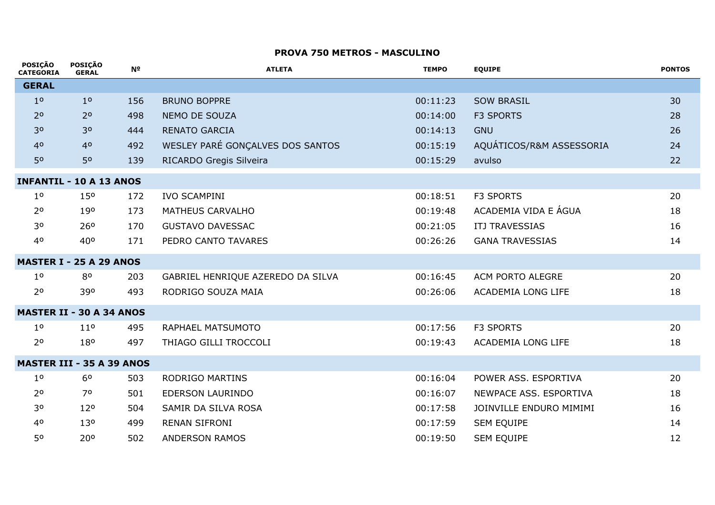#### **PROVA 750 METROS - MASCULINO**

| <b>POSIÇAO</b><br><b>CATEGORIA</b> | <b>POSIÇAO</b><br><b>GERAL</b> | N <sup>2</sup> | <b>ATLETA</b>                     | <b>TEMPO</b> | <b>EQUIPE</b>             | <b>PONTOS</b> |
|------------------------------------|--------------------------------|----------------|-----------------------------------|--------------|---------------------------|---------------|
| <b>GERAL</b>                       |                                |                |                                   |              |                           |               |
| 1 <sup>0</sup>                     | 1 <sup>0</sup>                 | 156            | <b>BRUNO BOPPRE</b>               | 00:11:23     | <b>SOW BRASIL</b>         | 30            |
| 2 <sup>o</sup>                     | 2 <sup>o</sup>                 | 498            | NEMO DE SOUZA                     | 00:14:00     | <b>F3 SPORTS</b>          | 28            |
| 3 <sup>o</sup>                     | 3 <sup>o</sup>                 | 444            | <b>RENATO GARCIA</b>              | 00:14:13     | <b>GNU</b>                | 26            |
| 40                                 | 4 <sup>o</sup>                 | 492            | WESLEY PARÉ GONÇALVES DOS SANTOS  | 00:15:19     | AQUÁTICOS/R&M ASSESSORIA  | 24            |
| 50                                 | 50                             | 139            | RICARDO Gregis Silveira           | 00:15:29     | avulso                    | 22            |
| <b>INFANTIL - 10 A 13 ANOS</b>     |                                |                |                                   |              |                           |               |
| 1 <sup>o</sup>                     | 15 <sup>o</sup>                | 172            | <b>IVO SCAMPINI</b>               | 00:18:51     | <b>F3 SPORTS</b>          | 20            |
| 2 <sup>o</sup>                     | 190                            | 173            | MATHEUS CARVALHO                  | 00:19:48     | ACADEMIA VIDA E ÁGUA      | 18            |
| 30                                 | 26 <sup>o</sup>                | 170            | <b>GUSTAVO DAVESSAC</b>           | 00:21:05     | ITJ TRAVESSIAS            | 16            |
| 40                                 | 40°                            | 171            | PEDRO CANTO TAVARES               | 00:26:26     | <b>GANA TRAVESSIAS</b>    | 14            |
| <b>MASTER I - 25 A 29 ANOS</b>     |                                |                |                                   |              |                           |               |
| 1 <sup>0</sup>                     | 80                             | 203            | GABRIEL HENRIQUE AZEREDO DA SILVA | 00:16:45     | ACM PORTO ALEGRE          | 20            |
| 2 <sup>o</sup>                     | 390                            | 493            | RODRIGO SOUZA MAIA                | 00:26:06     | <b>ACADEMIA LONG LIFE</b> | 18            |
| <b>MASTER II - 30 A 34 ANOS</b>    |                                |                |                                   |              |                           |               |
| 1 <sup>0</sup>                     | 11 <sup>0</sup>                | 495            | RAPHAEL MATSUMOTO                 | 00:17:56     | <b>F3 SPORTS</b>          | 20            |
| 2 <sup>o</sup>                     | 180                            | 497            | THIAGO GILLI TROCCOLI             | 00:19:43     | <b>ACADEMIA LONG LIFE</b> | 18            |
| <b>MASTER III - 35 A 39 ANOS</b>   |                                |                |                                   |              |                           |               |
| 1 <sup>0</sup>                     | 6 <sup>o</sup>                 | 503            | <b>RODRIGO MARTINS</b>            | 00:16:04     | POWER ASS. ESPORTIVA      | 20            |
| 2 <sup>o</sup>                     | 70                             | 501            | EDERSON LAURINDO                  | 00:16:07     | NEWPACE ASS. ESPORTIVA    | 18            |
| 30                                 | 120                            | 504            | SAMIR DA SILVA ROSA               | 00:17:58     | JOINVILLE ENDURO MIMIMI   | 16            |
| 4 <sup>o</sup>                     | 130                            | 499            | <b>RENAN SIFRONI</b>              | 00:17:59     | <b>SEM EQUIPE</b>         | 14            |
| 50                                 | 200                            | 502            | <b>ANDERSON RAMOS</b>             | 00:19:50     | <b>SEM EQUIPE</b>         | 12            |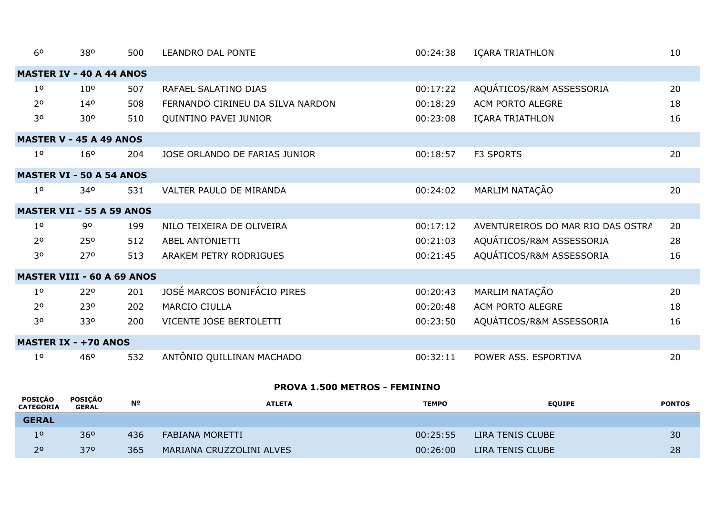| 6 <sup>0</sup> | 380                               | 500 | <b>LEANDRO DAL PONTE</b>         | 00:24:38 | IÇARA TRIATHLON                   | 10 |
|----------------|-----------------------------------|-----|----------------------------------|----------|-----------------------------------|----|
|                | <b>MASTER IV - 40 A 44 ANOS</b>   |     |                                  |          |                                   |    |
| 1 <sup>0</sup> | 10 <sup>o</sup>                   | 507 | RAFAEL SALATINO DIAS             | 00:17:22 | AQUÁTICOS/R&M ASSESSORIA          | 20 |
| 2 <sup>o</sup> | 14 <sup>o</sup>                   | 508 | FERNANDO CIRINEU DA SILVA NARDON | 00:18:29 | ACM PORTO ALEGRE                  | 18 |
| 30             | 30 <sup>o</sup>                   | 510 | QUINTINO PAVEI JUNIOR            | 00:23:08 | IÇARA TRIATHLON                   | 16 |
|                | <b>MASTER V - 45 A 49 ANOS</b>    |     |                                  |          |                                   |    |
| 1 <sup>0</sup> | 160                               | 204 | JOSE ORLANDO DE FARIAS JUNIOR    | 00:18:57 | <b>F3 SPORTS</b>                  | 20 |
|                | <b>MASTER VI - 50 A 54 ANOS</b>   |     |                                  |          |                                   |    |
| 1 <sup>0</sup> | 340                               | 531 | VALTER PAULO DE MIRANDA          | 00:24:02 | MARLIM NATAÇÃO                    | 20 |
|                | <b>MASTER VII - 55 A 59 ANOS</b>  |     |                                  |          |                                   |    |
| 1 <sup>o</sup> | 90                                | 199 | NILO TEIXEIRA DE OLIVEIRA        | 00:17:12 | AVENTUREIROS DO MAR RIO DAS OSTRA | 20 |
| 2 <sup>o</sup> | 250                               | 512 | ABEL ANTONIETTI                  | 00:21:03 | AQUÁTICOS/R&M ASSESSORIA          | 28 |
| 30             | 27°                               | 513 | ARAKEM PETRY RODRIGUES           | 00:21:45 | AQUÁTICOS/R&M ASSESSORIA          | 16 |
|                | <b>MASTER VIII - 60 A 69 ANOS</b> |     |                                  |          |                                   |    |
| 1 <sup>o</sup> | 220                               | 201 | JOSÉ MARCOS BONIFÁCIO PIRES      | 00:20:43 | MARLIM NATAÇÃO                    | 20 |
| 2 <sup>o</sup> | 230                               | 202 | <b>MARCIO CIULLA</b>             | 00:20:48 | <b>ACM PORTO ALEGRE</b>           | 18 |
| 30             | 330                               | 200 | VICENTE JOSE BERTOLETTI          | 00:23:50 | AQUÁTICOS/R&M ASSESSORIA          | 16 |
|                | <b>MASTER IX - +70 ANOS</b>       |     |                                  |          |                                   |    |
| 1 <sup>0</sup> | 46 <sup>o</sup>                   | 532 | ANTÔNIO QUILLINAN MACHADO        | 00:32:11 | POWER ASS. ESPORTIVA              | 20 |

# **PROVA 1.500 METROS - FEMININO**

 $\overline{\phantom{a}}$ 

| <b>POSICAO</b><br><b>CATEGORIA</b> | <b>POSICAO</b><br><b>GERAL</b> | Nº  | <b>ATLETA</b>            | <b>TEMPO</b> | <b>EQUIPE</b>    | <b>PONTOS</b> |
|------------------------------------|--------------------------------|-----|--------------------------|--------------|------------------|---------------|
| <b>GERAL</b>                       |                                |     |                          |              |                  |               |
| 1 <sup>0</sup>                     | 360                            | 436 | FABIANA MORETTI          | 00:25:55     | LIRA TENIS CLUBE | 30            |
| 2 <sup>o</sup>                     | 370                            | 365 | MARIANA CRUZZOLINI ALVES | 00:26:00     | LIRA TENIS CLUBE | 28            |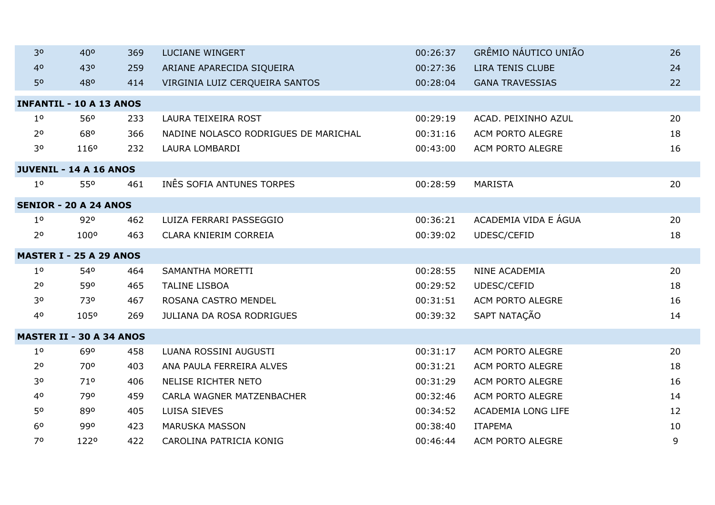| 30             | 400                             | 369 | <b>LUCIANE WINGERT</b>               | 00:26:37 | GRÊMIO NÁUTICO UNIÃO    | 26 |
|----------------|---------------------------------|-----|--------------------------------------|----------|-------------------------|----|
| 4 <sup>0</sup> | 430                             | 259 | ARIANE APARECIDA SIQUEIRA            | 00:27:36 | <b>LIRA TENIS CLUBE</b> | 24 |
| 50             | 480                             | 414 | VIRGINIA LUIZ CERQUEIRA SANTOS       | 00:28:04 | <b>GANA TRAVESSIAS</b>  | 22 |
|                | <b>INFANTIL - 10 A 13 ANOS</b>  |     |                                      |          |                         |    |
| 1 <sup>0</sup> | 56 <sup>o</sup>                 | 233 | LAURA TEIXEIRA ROST                  | 00:29:19 | ACAD. PEIXINHO AZUL     | 20 |
| 2 <sup>o</sup> | 680                             | 366 | NADINE NOLASCO RODRIGUES DE MARICHAL | 00:31:16 | ACM PORTO ALEGRE        | 18 |
| 30             | 1160                            | 232 | LAURA LOMBARDI                       | 00:43:00 | ACM PORTO ALEGRE        | 16 |
|                | <b>JUVENIL - 14 A 16 ANOS</b>   |     |                                      |          |                         |    |
| 1 <sup>0</sup> | 550                             | 461 | INÊS SOFIA ANTUNES TORPES            | 00:28:59 | <b>MARISTA</b>          | 20 |
|                | <b>SENIOR - 20 A 24 ANOS</b>    |     |                                      |          |                         |    |
| 1 <sup>o</sup> | 920                             | 462 | LUIZA FERRARI PASSEGGIO              | 00:36:21 | ACADEMIA VIDA E ÁGUA    | 20 |
| 2 <sup>o</sup> | 100°                            | 463 | CLARA KNIERIM CORREIA                | 00:39:02 | UDESC/CEFID             | 18 |
|                | <b>MASTER I - 25 A 29 ANOS</b>  |     |                                      |          |                         |    |
| 1 <sup>o</sup> | 540                             | 464 | SAMANTHA MORETTI                     | 00:28:55 | NINE ACADEMIA           | 20 |
| 2 <sup>o</sup> | 590                             | 465 | <b>TALINE LISBOA</b>                 | 00:29:52 | UDESC/CEFID             | 18 |
| 30             | 730                             | 467 | ROSANA CASTRO MENDEL                 | 00:31:51 | ACM PORTO ALEGRE        | 16 |
| 40             | 1050                            | 269 | <b>JULIANA DA ROSA RODRIGUES</b>     | 00:39:32 | SAPT NATAÇÃO            | 14 |
|                | <b>MASTER II - 30 A 34 ANOS</b> |     |                                      |          |                         |    |
| 1 <sup>0</sup> | 690                             | 458 | LUANA ROSSINI AUGUSTI                | 00:31:17 | ACM PORTO ALEGRE        | 20 |
| 2 <sup>o</sup> | 70 <sup>o</sup>                 | 403 | ANA PAULA FERREIRA ALVES             | 00:31:21 | ACM PORTO ALEGRE        | 18 |
| 30             | 71°                             | 406 | <b>NELISE RICHTER NETO</b>           | 00:31:29 | ACM PORTO ALEGRE        | 16 |
| 4 <sup>o</sup> | 790                             | 459 | CARLA WAGNER MATZENBACHER            | 00:32:46 | ACM PORTO ALEGRE        | 14 |
| 50             | 890                             | 405 | LUISA SIEVES                         | 00:34:52 | ACADEMIA LONG LIFE      | 12 |
| 6 <sup>o</sup> | 990                             | 423 | <b>MARUSKA MASSON</b>                | 00:38:40 | <b>ITAPEMA</b>          | 10 |
| 70             | 1220                            | 422 | CAROLINA PATRICIA KONIG              | 00:46:44 | ACM PORTO ALEGRE        | 9  |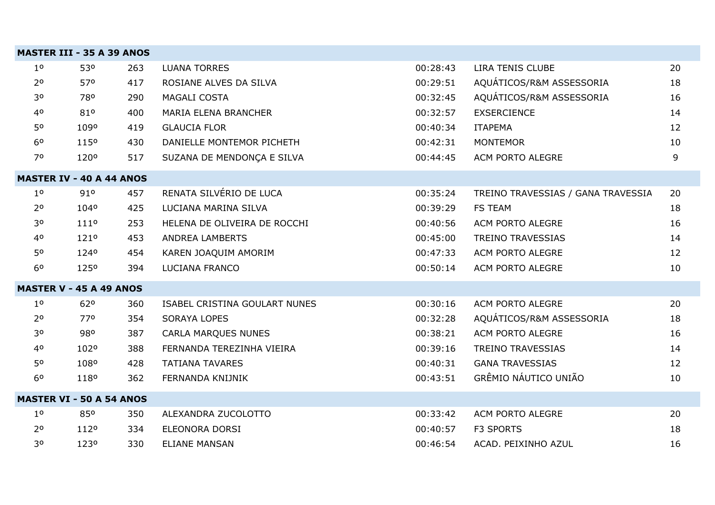|                | <b>MASTER III - 35 A 39 ANOS</b> |     |                               |          |                                    |    |
|----------------|----------------------------------|-----|-------------------------------|----------|------------------------------------|----|
| 1 <sup>0</sup> | 530                              | 263 | <b>LUANA TORRES</b>           | 00:28:43 | LIRA TENIS CLUBE                   | 20 |
| 2 <sup>o</sup> | 570                              | 417 | ROSIANE ALVES DA SILVA        | 00:29:51 | AQUÁTICOS/R&M ASSESSORIA           | 18 |
| 30             | 780                              | 290 | MAGALI COSTA                  | 00:32:45 | AQUÁTICOS/R&M ASSESSORIA           | 16 |
| 40             | 810                              | 400 | <b>MARIA ELENA BRANCHER</b>   | 00:32:57 | <b>EXSERCIENCE</b>                 | 14 |
| 50             | 1090                             | 419 | <b>GLAUCIA FLOR</b>           | 00:40:34 | ITAPEMA                            | 12 |
| 6 <sup>o</sup> | 1150                             | 430 | DANIELLE MONTEMOR PICHETH     | 00:42:31 | <b>MONTEMOR</b>                    | 10 |
| 70             | 1200                             | 517 | SUZANA DE MENDONÇA E SILVA    | 00:44:45 | ACM PORTO ALEGRE                   | 9  |
|                | <b>MASTER IV - 40 A 44 ANOS</b>  |     |                               |          |                                    |    |
| 1 <sup>0</sup> | 910                              | 457 | RENATA SILVÉRIO DE LUCA       | 00:35:24 | TREINO TRAVESSIAS / GANA TRAVESSIA | 20 |
| 2 <sup>o</sup> | 1040                             | 425 | LUCIANA MARINA SILVA          | 00:39:29 | <b>FS TEAM</b>                     | 18 |
| 30             | 1110                             | 253 | HELENA DE OLIVEIRA DE ROCCHI  | 00:40:56 | <b>ACM PORTO ALEGRE</b>            | 16 |
| 40             | 1210                             | 453 | <b>ANDREA LAMBERTS</b>        | 00:45:00 | TREINO TRAVESSIAS                  | 14 |
| 50             | 1240                             | 454 | KAREN JOAQUIM AMORIM          | 00:47:33 | ACM PORTO ALEGRE                   | 12 |
| 6 <sup>o</sup> | 1250                             | 394 | LUCIANA FRANCO                | 00:50:14 | ACM PORTO ALEGRE                   | 10 |
|                | <b>MASTER V - 45 A 49 ANOS</b>   |     |                               |          |                                    |    |
| 1 <sup>0</sup> | 620                              | 360 | ISABEL CRISTINA GOULART NUNES | 00:30:16 | ACM PORTO ALEGRE                   | 20 |
| 2 <sup>0</sup> | 770                              | 354 | <b>SORAYA LOPES</b>           | 00:32:28 | AQUÁTICOS/R&M ASSESSORIA           | 18 |
| 30             | 980                              | 387 | <b>CARLA MARQUES NUNES</b>    | 00:38:21 | ACM PORTO ALEGRE                   | 16 |
| 40             | 1020                             | 388 | FERNANDA TEREZINHA VIEIRA     | 00:39:16 | <b>TREINO TRAVESSIAS</b>           | 14 |
| 50             | 1080                             | 428 | <b>TATIANA TAVARES</b>        | 00:40:31 | <b>GANA TRAVESSIAS</b>             | 12 |
| 6 <sup>o</sup> | 1180                             | 362 | FERNANDA KNIJNIK              | 00:43:51 | GRÊMIO NÁUTICO UNIÃO               | 10 |
|                | <b>MASTER VI - 50 A 54 ANOS</b>  |     |                               |          |                                    |    |
| 1 <sup>0</sup> | 850                              | 350 | ALEXANDRA ZUCOLOTTO           | 00:33:42 | ACM PORTO ALEGRE                   | 20 |
| 2 <sup>0</sup> | 1120                             | 334 | <b>ELEONORA DORSI</b>         | 00:40:57 | <b>F3 SPORTS</b>                   | 18 |
| 30             | 1230                             | 330 | <b>ELIANE MANSAN</b>          | 00:46:54 | ACAD. PEIXINHO AZUL                | 16 |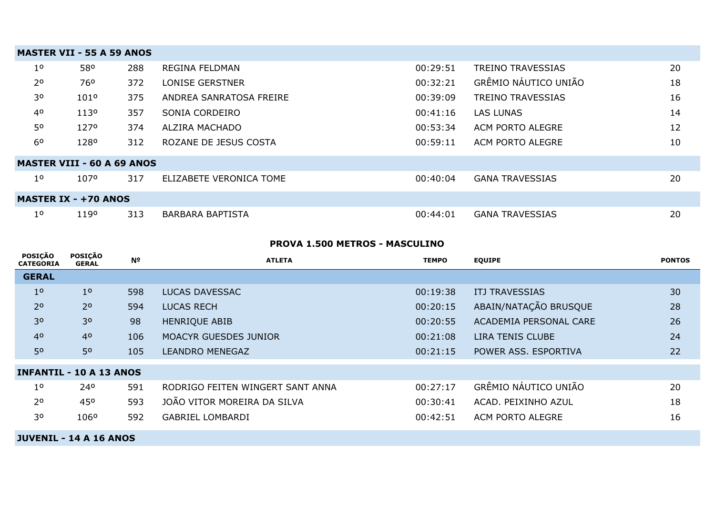|                | <b>MASTER VII - 55 A 59 ANOS</b>  |     |                         |          |                          |    |  |
|----------------|-----------------------------------|-----|-------------------------|----------|--------------------------|----|--|
| 1 <sup>o</sup> | 58°                               | 288 | <b>REGINA FELDMAN</b>   | 00:29:51 | <b>TREINO TRAVESSIAS</b> | 20 |  |
| 2 <sup>o</sup> | 76°                               | 372 | LONISE GERSTNER         | 00:32:21 | GRÊMIO NÁUTICO UNIÃO     | 18 |  |
| 30             | 101°                              | 375 | ANDREA SANRATOSA FREIRE | 00:39:09 | <b>TREINO TRAVESSIAS</b> | 16 |  |
| 4 <sup>o</sup> | 1130                              | 357 | SONIA CORDEIRO          | 00:41:16 | <b>LAS LUNAS</b>         | 14 |  |
| 50             | 1270                              | 374 | ALZIRA MACHADO          | 00:53:34 | ACM PORTO ALEGRE         | 12 |  |
| 6 <sup>o</sup> | 1280                              | 312 | ROZANE DE JESUS COSTA   | 00:59:11 | ACM PORTO ALEGRE         | 10 |  |
|                | <b>MASTER VIII - 60 A 69 ANOS</b> |     |                         |          |                          |    |  |
| 1 <sup>0</sup> | 1070                              | 317 | ELIZABETE VERONICA TOME | 00:40:04 | <b>GANA TRAVESSIAS</b>   | 20 |  |
|                | <b>MASTER IX - +70 ANOS</b>       |     |                         |          |                          |    |  |
| 1 <sup>o</sup> | 1190                              | 313 | <b>BARBARA BAPTISTA</b> | 00:44:01 | <b>GANA TRAVESSIAS</b>   | 20 |  |

## **PROVA 1.500 METROS - MASCULINO**

| <b>POSIÇÃO</b><br><b>CATEGORIA</b> | POSIÇÃO<br><b>GERAL</b> | Nº  | <b>ATLETA</b>                    | <b>TEMPO</b> | <b>EQUIPE</b>           | <b>PONTOS</b> |
|------------------------------------|-------------------------|-----|----------------------------------|--------------|-------------------------|---------------|
| <b>GERAL</b>                       |                         |     |                                  |              |                         |               |
| 1 <sup>0</sup>                     | 1 <sup>0</sup>          | 598 | <b>LUCAS DAVESSAC</b>            | 00:19:38     | <b>ITJ TRAVESSIAS</b>   | 30            |
| 2 <sup>o</sup>                     | 2 <sup>o</sup>          | 594 | <b>LUCAS RECH</b>                | 00:20:15     | ABAIN/NATAÇÃO BRUSQUE   | 28            |
| 30                                 | 3 <sup>o</sup>          | 98  | <b>HENRIQUE ABIB</b>             | 00:20:55     | ACADEMIA PERSONAL CARE  | 26            |
| 4 <sup>0</sup>                     | 4 <sup>o</sup>          | 106 | <b>MOACYR GUESDES JUNIOR</b>     | 00:21:08     | <b>LIRA TENIS CLUBE</b> | 24            |
| 50                                 | 50                      | 105 | <b>LEANDRO MENEGAZ</b>           | 00:21:15     | POWER ASS. ESPORTIVA    | 22            |
| <b>INFANTIL - 10 A 13 ANOS</b>     |                         |     |                                  |              |                         |               |
| 1 <sup>o</sup>                     | 240                     | 591 | RODRIGO FEITEN WINGERT SANT ANNA | 00:27:17     | GRÊMIO NÁUTICO UNIÃO    | 20            |
| 2 <sup>o</sup>                     | 450                     | 593 | JOÃO VITOR MOREIRA DA SILVA      | 00:30:41     | ACAD. PEIXINHO AZUL     | 18            |
| 30                                 | 1060                    | 592 | <b>GABRIEL LOMBARDI</b>          | 00:42:51     | ACM PORTO ALEGRE        | 16            |

**JUVENIL - 14 A 16 ANOS**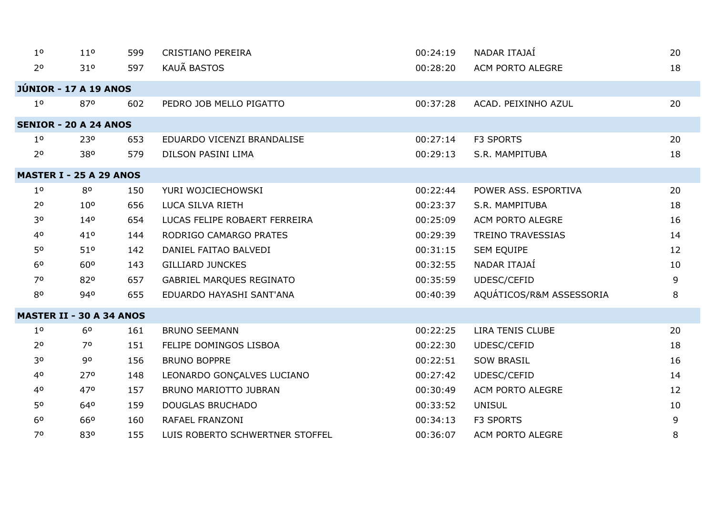| 1 <sup>0</sup> | 11 <sup>0</sup>                 | 599 | <b>CRISTIANO PEREIRA</b>        | 00:24:19 | NADAR ITAJAÍ             | 20 |
|----------------|---------------------------------|-----|---------------------------------|----------|--------------------------|----|
| 2 <sup>o</sup> | 310                             | 597 | <b>KAUÃ BASTOS</b>              | 00:28:20 | ACM PORTO ALEGRE         | 18 |
|                | JÚNIOR - 17 A 19 ANOS           |     |                                 |          |                          |    |
| 1 <sup>0</sup> | 870                             | 602 | PEDRO JOB MELLO PIGATTO         | 00:37:28 | ACAD. PEIXINHO AZUL      | 20 |
|                | <b>SENIOR - 20 A 24 ANOS</b>    |     |                                 |          |                          |    |
| 1 <sup>0</sup> | 230                             | 653 | EDUARDO VICENZI BRANDALISE      | 00:27:14 | F3 SPORTS                | 20 |
| 2 <sup>o</sup> | 380                             | 579 | DILSON PASINI LIMA              | 00:29:13 | S.R. MAMPITUBA           | 18 |
|                | <b>MASTER I - 25 A 29 ANOS</b>  |     |                                 |          |                          |    |
| 1 <sup>0</sup> | 80                              | 150 | YURI WOJCIECHOWSKI              | 00:22:44 | POWER ASS. ESPORTIVA     | 20 |
| 2 <sup>o</sup> | 10 <sup>o</sup>                 | 656 | LUCA SILVA RIETH                | 00:23:37 | S.R. MAMPITUBA           | 18 |
| 30             | 140                             | 654 | LUCAS FELIPE ROBAERT FERREIRA   | 00:25:09 | ACM PORTO ALEGRE         | 16 |
| 40             | 410                             | 144 | RODRIGO CAMARGO PRATES          | 00:29:39 | <b>TREINO TRAVESSIAS</b> | 14 |
| 50             | 510                             | 142 | DANIEL FAITAO BALVEDI           | 00:31:15 | <b>SEM EQUIPE</b>        | 12 |
| 6 <sup>o</sup> | 60 <sup>o</sup>                 | 143 | <b>GILLIARD JUNCKES</b>         | 00:32:55 | NADAR ITAJAÍ             | 10 |
| 70             | 820                             | 657 | GABRIEL MARQUES REGINATO        | 00:35:59 | UDESC/CEFID              | 9  |
| 80             | 940                             | 655 | EDUARDO HAYASHI SANT'ANA        | 00:40:39 | AQUÁTICOS/R&M ASSESSORIA | 8  |
|                | <b>MASTER II - 30 A 34 ANOS</b> |     |                                 |          |                          |    |
| 1 <sup>0</sup> | 6 <sup>o</sup>                  | 161 | <b>BRUNO SEEMANN</b>            | 00:22:25 | LIRA TENIS CLUBE         | 20 |
| 2 <sup>o</sup> | 70                              | 151 | FELIPE DOMINGOS LISBOA          | 00:22:30 | UDESC/CEFID              | 18 |
| 30             | 90                              | 156 | <b>BRUNO BOPPRE</b>             | 00:22:51 | <b>SOW BRASIL</b>        | 16 |
| 40             | 270                             | 148 | LEONARDO GONÇALVES LUCIANO      | 00:27:42 | UDESC/CEFID              | 14 |
| 40             | 470                             | 157 | <b>BRUNO MARIOTTO JUBRAN</b>    | 00:30:49 | ACM PORTO ALEGRE         | 12 |
| 50             | 640                             | 159 | <b>DOUGLAS BRUCHADO</b>         | 00:33:52 | <b>UNISUL</b>            | 10 |
| 6 <sup>0</sup> | 660                             | 160 | RAFAEL FRANZONI                 | 00:34:13 | F3 SPORTS                | 9  |
| 70             | 830                             | 155 | LUIS ROBERTO SCHWERTNER STOFFEL | 00:36:07 | ACM PORTO ALEGRE         | 8  |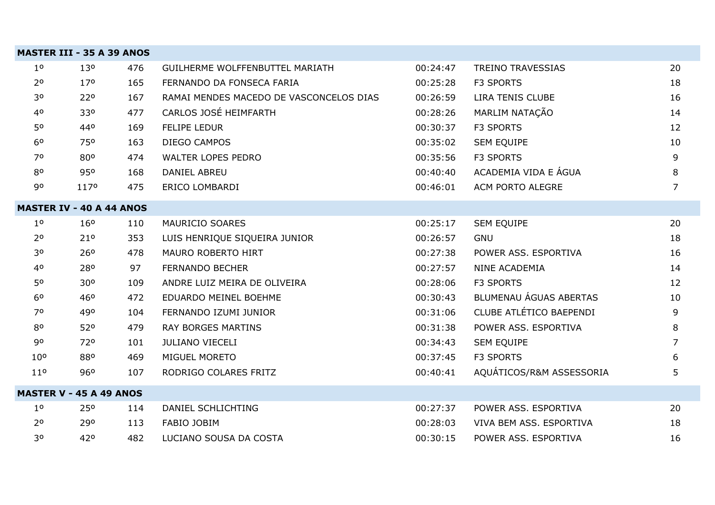|                 | <b>MASTER III - 35 A 39 ANOS</b> |     |                                         |          |                          |                |
|-----------------|----------------------------------|-----|-----------------------------------------|----------|--------------------------|----------------|
| 1 <sup>o</sup>  | 13 <sup>o</sup>                  | 476 | GUILHERME WOLFFENBUTTEL MARIATH         | 00:24:47 | <b>TREINO TRAVESSIAS</b> | 20             |
| 2 <sup>o</sup>  | 17 <sup>o</sup>                  | 165 | FERNANDO DA FONSECA FARIA               | 00:25:28 | F3 SPORTS                | 18             |
| 30              | 220                              | 167 | RAMAI MENDES MACEDO DE VASCONCELOS DIAS | 00:26:59 | LIRA TENIS CLUBE         | 16             |
| 4 <sup>o</sup>  | 330                              | 477 | CARLOS JOSÉ HEIMFARTH                   | 00:28:26 | MARLIM NATAÇÃO           | 14             |
| 50              | 440                              | 169 | FELIPE LEDUR                            | 00:30:37 | F3 SPORTS                | 12             |
| 6 <sup>o</sup>  | 750                              | 163 | DIEGO CAMPOS                            | 00:35:02 | SEM EQUIPE               | 10             |
| 70              | 80 <sup>o</sup>                  | 474 | WALTER LOPES PEDRO                      | 00:35:56 | F3 SPORTS                | 9              |
| 80              | 950                              | 168 | <b>DANIEL ABREU</b>                     | 00:40:40 | ACADEMIA VIDA E ÁGUA     | 8              |
| 90              | 1170                             | 475 | ERICO LOMBARDI                          | 00:46:01 | ACM PORTO ALEGRE         | $\overline{7}$ |
|                 | <b>MASTER IV - 40 A 44 ANOS</b>  |     |                                         |          |                          |                |
| 1 <sup>0</sup>  | 16 <sup>o</sup>                  | 110 | MAURICIO SOARES                         | 00:25:17 | SEM EQUIPE               | 20             |
| 2 <sup>o</sup>  | 210                              | 353 | LUIS HENRIQUE SIQUEIRA JUNIOR           | 00:26:57 | <b>GNU</b>               | 18             |
| 30              | 260                              | 478 | MAURO ROBERTO HIRT                      | 00:27:38 | POWER ASS. ESPORTIVA     | 16             |
| 40              | 280                              | 97  | <b>FERNANDO BECHER</b>                  | 00:27:57 | NINE ACADEMIA            | 14             |
| 50              | 30 <sup>o</sup>                  | 109 | ANDRE LUIZ MEIRA DE OLIVEIRA            | 00:28:06 | <b>F3 SPORTS</b>         | 12             |
| 6 <sup>o</sup>  | 46°                              | 472 | EDUARDO MEINEL BOEHME                   | 00:30:43 | BLUMENAU ÁGUAS ABERTAS   | 10             |
| 70              | 490                              | 104 | FERNANDO IZUMI JUNIOR                   | 00:31:06 | CLUBE ATLÉTICO BAEPENDI  | 9              |
| 80              | 520                              | 479 | <b>RAY BORGES MARTINS</b>               | 00:31:38 | POWER ASS. ESPORTIVA     | 8              |
| 90              | 720                              | 101 | <b>JULIANO VIECELI</b>                  | 00:34:43 | SEM EQUIPE               | 7              |
| 10 <sup>o</sup> | 880                              | 469 | MIGUEL MORETO                           | 00:37:45 | F3 SPORTS                | 6              |
| 11 <sup>o</sup> | 960                              | 107 | RODRIGO COLARES FRITZ                   | 00:40:41 | AQUÁTICOS/R&M ASSESSORIA | 5.             |
|                 | <b>MASTER V - 45 A 49 ANOS</b>   |     |                                         |          |                          |                |
| 1 <sup>0</sup>  | 25 <sup>o</sup>                  | 114 | DANIEL SCHLICHTING                      | 00:27:37 | POWER ASS. ESPORTIVA     | 20             |
| 2 <sup>o</sup>  | 290                              | 113 | <b>FABIO JOBIM</b>                      | 00:28:03 | VIVA BEM ASS. ESPORTIVA  | 18             |
| 30              | 420                              | 482 | LUCIANO SOUSA DA COSTA                  | 00:30:15 | POWER ASS. ESPORTIVA     | 16             |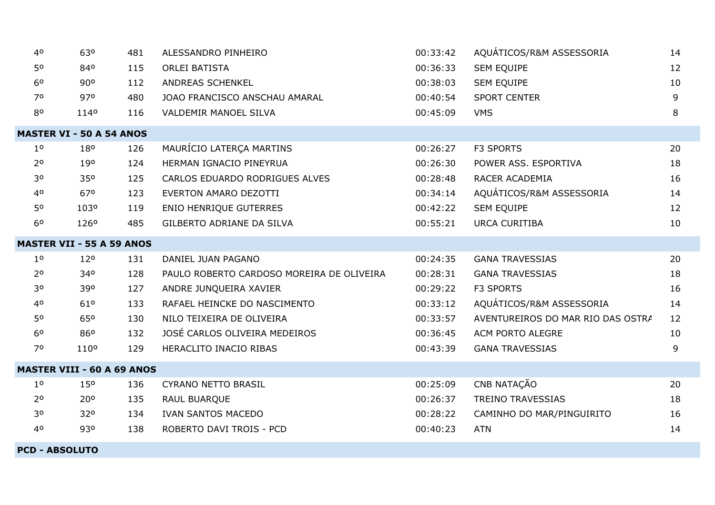| 40                              | 630                               | 481 | ALESSANDRO PINHEIRO                       | 00:33:42 | AQUÁTICOS/R&M ASSESSORIA          | 14 |  |  |  |  |
|---------------------------------|-----------------------------------|-----|-------------------------------------------|----------|-----------------------------------|----|--|--|--|--|
| 50                              | 840                               | 115 | <b>ORLEI BATISTA</b>                      | 00:36:33 | <b>SEM EQUIPE</b>                 | 12 |  |  |  |  |
| 6 <sup>o</sup>                  | 90°                               | 112 | ANDREAS SCHENKEL                          | 00:38:03 | <b>SEM EQUIPE</b>                 | 10 |  |  |  |  |
| 70                              | 970                               | 480 | JOAO FRANCISCO ANSCHAU AMARAL             | 00:40:54 | <b>SPORT CENTER</b>               | 9  |  |  |  |  |
| 80                              | 1140                              | 116 | VALDEMIR MANOEL SILVA                     | 00:45:09 | <b>VMS</b>                        | 8  |  |  |  |  |
| <b>MASTER VI - 50 A 54 ANOS</b> |                                   |     |                                           |          |                                   |    |  |  |  |  |
| 1 <sup>0</sup>                  | 180                               | 126 | MAURÍCIO LATERÇA MARTINS                  | 00:26:27 | <b>F3 SPORTS</b>                  | 20 |  |  |  |  |
| 2 <sup>o</sup>                  | 190                               | 124 | HERMAN IGNACIO PINEYRUA                   | 00:26:30 | POWER ASS. ESPORTIVA              | 18 |  |  |  |  |
| 30                              | 35 <sup>o</sup>                   | 125 | CARLOS EDUARDO RODRIGUES ALVES            | 00:28:48 | RACER ACADEMIA                    | 16 |  |  |  |  |
| 40                              | 670                               | 123 | EVERTON AMARO DEZOTTI                     | 00:34:14 | AQUÁTICOS/R&M ASSESSORIA          | 14 |  |  |  |  |
| 50                              | 1030                              | 119 | ENIO HENRIQUE GUTERRES                    | 00:42:22 | <b>SEM EQUIPE</b>                 | 12 |  |  |  |  |
| 6 <sup>o</sup>                  | 1260                              | 485 | GILBERTO ADRIANE DA SILVA                 | 00:55:21 | <b>URCA CURITIBA</b>              | 10 |  |  |  |  |
|                                 | <b>MASTER VII - 55 A 59 ANOS</b>  |     |                                           |          |                                   |    |  |  |  |  |
| 1 <sup>0</sup>                  | 120                               | 131 | DANIEL JUAN PAGANO                        | 00:24:35 | <b>GANA TRAVESSIAS</b>            | 20 |  |  |  |  |
| 2 <sup>o</sup>                  | 340                               | 128 | PAULO ROBERTO CARDOSO MOREIRA DE OLIVEIRA | 00:28:31 | <b>GANA TRAVESSIAS</b>            | 18 |  |  |  |  |
| 30                              | 390                               | 127 | ANDRE JUNQUEIRA XAVIER                    | 00:29:22 | F3 SPORTS                         | 16 |  |  |  |  |
| 40                              | 610                               | 133 | RAFAEL HEINCKE DO NASCIMENTO              | 00:33:12 | AQUÁTICOS/R&M ASSESSORIA          | 14 |  |  |  |  |
| 50                              | 65°                               | 130 | NILO TEIXEIRA DE OLIVEIRA                 | 00:33:57 | AVENTUREIROS DO MAR RIO DAS OSTRA | 12 |  |  |  |  |
| 6 <sup>o</sup>                  | 860                               | 132 | JOSÉ CARLOS OLIVEIRA MEDEIROS             | 00:36:45 | ACM PORTO ALEGRE                  | 10 |  |  |  |  |
| 70                              | 110 <sup>o</sup>                  | 129 | HERACLITO INACIO RIBAS                    | 00:43:39 | <b>GANA TRAVESSIAS</b>            | 9  |  |  |  |  |
|                                 | <b>MASTER VIII - 60 A 69 ANOS</b> |     |                                           |          |                                   |    |  |  |  |  |
| 1 <sup>0</sup>                  | 15 <sup>o</sup>                   | 136 | <b>CYRANO NETTO BRASIL</b>                | 00:25:09 | CNB NATAÇÃO                       | 20 |  |  |  |  |
| 2 <sup>o</sup>                  | 20°                               | 135 | RAUL BUARQUE                              | 00:26:37 | <b>TREINO TRAVESSIAS</b>          | 18 |  |  |  |  |
| 30                              | 320                               | 134 | <b>IVAN SANTOS MACEDO</b>                 | 00:28:22 | CAMINHO DO MAR/PINGUIRITO         | 16 |  |  |  |  |
| 40                              | 930                               | 138 | ROBERTO DAVI TROIS - PCD                  | 00:40:23 | <b>ATN</b>                        | 14 |  |  |  |  |
|                                 |                                   |     |                                           |          |                                   |    |  |  |  |  |

**PCD - ABSOLUTO**